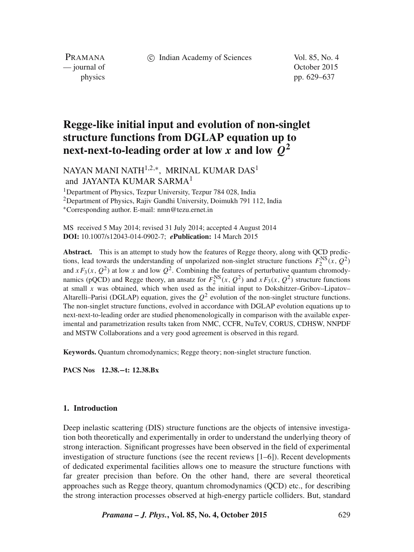c Indian Academy of Sciences Vol. 85, No. 4

PRAMANA — journal of Content of Content of Content of Content of Content of Content of Content of Content of Content of Content of Content of Content of Content of Content of Content of Content of Content of Content of Content of

physics pp. 629–637

# **Regge-like initial input and evolution of non-singlet structure functions from DGLAP equation up to next-next-to-leading order at low x** and low  $\hat{Q}^2$

NAYAN MANI NATH $^{1,2,\ast},\,$  MRINAL KUMAR DAS $^1$ and JAYANTA KUMAR SARMA<sup>1</sup>

<sup>1</sup>Department of Physics, Tezpur University, Tezpur 784 028, India

<sup>2</sup>Department of Physics, Rajiv Gandhi University, Doimukh 791 112, India

<sup>∗</sup>Corresponding author. E-mail: nmn@tezu.ernet.in

MS received 5 May 2014; revised 31 July 2014; accepted 4 August 2014 **DOI:** 10.1007/s12043-014-0902-7; *e***Publication:** 14 March 2015

**Abstract.** This is an attempt to study how the features of Regge theory, along with QCD predictions, lead towards the understanding of unpolarized non-singlet structure functions  $F_2^{\text{NS}}(x, Q^2)$ and  $xF_3(x, Q^2)$  at low x and low  $Q^2$ . Combining the features of perturbative quantum chromodynamics (pQCD) and Regge theory, an ansatz for  $F_2^{\text{NS}}(x, Q^2)$  and  $xF_3(x, Q^2)$  structure functions at small  $x$  was obtained, which when used as the initial input to Dokshitzer–Gribov–Lipatov– Altarelli–Parisi (DGLAP) equation, gives the  $Q^2$  evolution of the non-singlet structure functions. The non-singlet structure functions, evolved in accordance with DGLAP evolution equations up to next-next-to-leading order are studied phenomenologically in comparison with the available experimental and parametrization results taken from NMC, CCFR, NuTeV, CORUS, CDHSW, NNPDF and MSTW Collaborations and a very good agreement is observed in this regard.

**Keywords.** Quantum chromodynamics; Regge theory; non-singlet structure function.

**PACS Nos 12.38.**−**t: 12.38.Bx**

#### **1. Introduction**

Deep inelastic scattering (DIS) structure functions are the objects of intensive investigation both theoretically and experimentally in order to understand the underlying theory of strong interaction. Significant progresses have been observed in the field of experimental investigation of structure functions (see the recent reviews [1–6]). Recent developments of dedicated experimental facilities allows one to measure the structure functions with far greater precision than before. On the other hand, there are several theoretical approaches such as Regge theory, quantum chromodynamics (QCD) etc., for describing the strong interaction processes observed at high-energy particle colliders. But, standard

*Pramana – J. Phys.***, Vol. 85, No. 4, October 2015** 629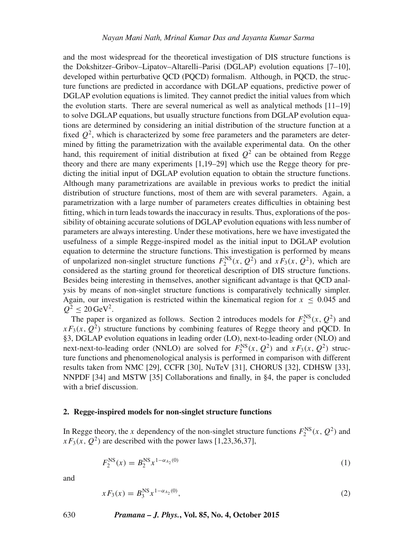and the most widespread for the theoretical investigation of DIS structure functions is the Dokshitzer–Gribov–Lipatov–Altarelli–Parisi (DGLAP) evolution equations [7–10], developed within perturbative QCD (PQCD) formalism. Although, in PQCD, the structure functions are predicted in accordance with DGLAP equations, predictive power of DGLAP evolution equations is limited. They cannot predict the initial values from which the evolution starts. There are several numerical as well as analytical methods  $[11-19]$ to solve DGLAP equations, but usually structure functions from DGLAP evolution equations are determined by considering an initial distribution of the structure function at a fixed  $Q^2$ , which is characterized by some free parameters and the parameters are determined by fitting the parametrization with the available experimental data. On the other hand, this requirement of initial distribution at fixed  $Q^2$  can be obtained from Regge theory and there are many experiments [1,19–29] which use the Regge theory for predicting the initial input of DGLAP evolution equation to obtain the structure functions. Although many parametrizations are available in previous works to predict the initial distribution of structure functions, most of them are with several parameters. Again, a parametrization with a large number of parameters creates difficulties in obtaining best fitting, which in turn leads towards the inaccuracy in results. Thus, explorations of the possibility of obtaining accurate solutions of DGLAP evolution equations with less number of parameters are always interesting. Under these motivations, here we have investigated the usefulness of a simple Regge-inspired model as the initial input to DGLAP evolution equation to determine the structure functions. This investigation is performed by means of unpolarized non-singlet structure functions  $F_2^{\text{NS}}(x, Q^2)$  and  $xF_3(x, Q^2)$ , which are considered as the starting ground for theoretical description of DIS structure functions. Besides being interesting in themselves, another significant advantage is that QCD analysis by means of non-singlet structure functions is comparatively technically simpler. Again, our investigation is restricted within the kinematical region for  $x \leq 0.045$  and  $Q^2 \le 20 \,\text{GeV}^2$ .

The paper is organized as follows. Section 2 introduces models for  $F_2^{\text{NS}}(x, Q^2)$  and  $xF_3(x, Q^2)$  structure functions by combining features of Regge theory and pQCD. In §3, DGLAP evolution equations in leading order (LO), next-to-leading order (NLO) and next-next-to-leading order (NNLO) are solved for  $F_2^{\text{NS}}(x, Q^2)$  and  $xF_3(x, Q^2)$  structure functions and phenomenological analysis is performed in comparison with different results taken from NMC [29], CCFR [30], NuTeV [31], CHORUS [32], CDHSW [33], NNPDF [34] and MSTW [35] Collaborations and finally, in §4, the paper is concluded with a brief discussion.

#### **2. Regge-inspired models for non-singlet structure functions**

In Regge theory, the x dependency of the non-singlet structure functions  $F_2^{\text{NS}}(x, Q^2)$  and  $xF_3(x, Q^2)$  are described with the power laws [1,23,36,37],

$$
F_2^{\text{NS}}(x) = B_2^{\text{NS}} x^{1-\alpha_{A_2}(0)}\tag{1}
$$

and

$$
x F_3(x) = B_3^{\text{NS}} x^{1 - \alpha_{A_2}(0)}, \tag{2}
$$

630 *Pramana – J. Phys.***, Vol. 85, No. 4, October 2015**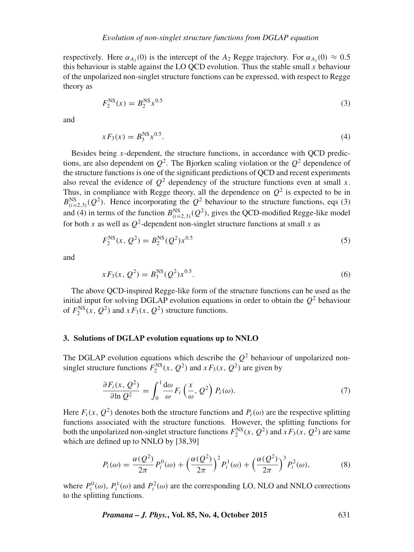respectively. Here  $\alpha_{A_2}(0)$  is the intercept of the  $A_2$  Regge trajectory. For  $\alpha_{A_2}(0) \approx 0.5$ this behaviour is stable against the LO QCD evolution. Thus the stable small  $x$  behaviour of the unpolarized non-singlet structure functions can be expressed, with respect to Regge theory as

$$
F_2^{\text{NS}}(x) = B_2^{\text{NS}} x^{0.5}
$$
 (3)

and

$$
xF_3(x) = B_3^{\text{NS}} x^{0.5}.
$$
 (4)

Besides being  $x$ -dependent, the structure functions, in accordance with QCD predictions, are also dependent on  $Q^2$ . The Bjorken scaling violation or the  $Q^2$  dependence of the structure functions is one of the significant predictions of QCD and recent experiments also reveal the evidence of  $O^2$  dependency of the structure functions even at small x. Thus, in compliance with Regge theory, all the dependence on  $Q^2$  is expected to be in  $B_{(i=2,3)}^{\text{NS}}(Q^2)$ . Hence incorporating the  $Q^2$  behaviour to the structure functions, eqs (3) and (4) in terms of the function  $B_{(i=2,3)}^{\text{NS}}(Q^2)$ , gives the QCD-modified Regge-like model for both x as well as  $Q^2$ -dependent non-singlet structure functions at small x as

$$
F_2^{\rm NS}(x, Q^2) = B_2^{\rm NS}(Q^2) x^{0.5}
$$
\n(5)

and

$$
xF_3(x, Q^2) = B_3^{\text{NS}}(Q^2)x^{0.5}.
$$
 (6)

The above QCD-inspired Regge-like form of the structure functions can be used as the initial input for solving DGLAP evolution equations in order to obtain the  $Q^2$  behaviour of  $F_2^{\text{NS}}(x, Q^2)$  and  $xF_3(x, Q^2)$  structure functions.

#### **3. Solutions of DGLAP evolution equations up to NNLO**

The DGLAP evolution equations which describe the  $Q^2$  behaviour of unpolarized nonsinglet structure functions  $F_2^{NS}(x, Q^2)$  and  $xF_3(x, Q^2)$  are given by

$$
\frac{\partial F_i(x, Q^2)}{\partial \ln Q^2} = \int_0^1 \frac{d\omega}{\omega} F_i\left(\frac{x}{\omega}, Q^2\right) P_i(\omega). \tag{7}
$$

Here  $F_i(x, Q^2)$  denotes both the structure functions and  $P_i(\omega)$  are the respective splitting functions associated with the structure functions. However, the splitting functions for both the unpolarized non-singlet structure functions  $F_2^{NS}(x, Q^2)$  and  $xF_3(x, Q^2)$  are same which are defined up to NNLO by [38,39]

$$
P_i(\omega) = \frac{\alpha(Q^2)}{2\pi} P_i^0(\omega) + \left(\frac{\alpha(Q^2)}{2\pi}\right)^2 P_i^1(\omega) + \left(\frac{\alpha(Q^2)}{2\pi}\right)^3 P_i^2(\omega),\tag{8}
$$

where  $P_i^0(\omega)$ ,  $P_i^1(\omega)$  and  $P_i^2(\omega)$  are the corresponding LO, NLO and NNLO corrections to the splitting functions.

*Pramana – J. Phys.***, Vol. 85, No. 4, October 2015** 631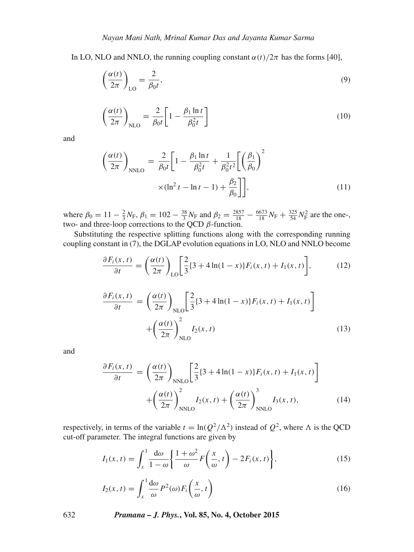In LO, NLO and NNLO, the running coupling constant  $\alpha(t)/2\pi$  has the forms [40],

$$
\left(\frac{\alpha(t)}{2\pi}\right)_{\text{LO}} = \frac{2}{\beta_0 t},\tag{9}
$$

$$
\left(\frac{\alpha(t)}{2\pi}\right)_{\text{NLO}} = \frac{2}{\beta_0 t} \left[1 - \frac{\beta_1 \ln t}{\beta_0^2 t}\right]
$$
\n(10)

and

$$
\left(\frac{\alpha(t)}{2\pi}\right)_{\text{NNLO}} = \frac{2}{\beta_0 t} \left[1 - \frac{\beta_1 \ln t}{\beta_0^2 t} + \frac{1}{\beta_0^2 t^2} \left[\left(\frac{\beta_1}{\beta_0}\right)^2\right] \times (\ln^2 t - \ln t - 1) + \frac{\beta_2}{\beta_0} \right],\tag{11}
$$

where  $\beta_0 = 11 - \frac{2}{3} N_F$ ,  $\beta_1 = 102 - \frac{38}{3} N_F$  and  $\beta_2 = \frac{2857}{18} - \frac{6673}{18} N_F + \frac{325}{54} N_F^2$  are the onetwo- and three-loop corrections to the QCD  $\beta$ -function.

Substituting the respective splitting functions along with the corresponding running coupling constant in (7), the DGLAP evolution equations in LO, NLO and NNLO become

$$
\frac{\partial F_i(x,t)}{\partial t} = \left(\frac{\alpha(t)}{2\pi}\right)_{\text{LO}} \left[\frac{2}{3}\{3+4\ln(1-x)\} F_i(x,t) + I_1(x,t)\right],\tag{12}
$$

$$
\frac{\partial F_i(x,t)}{\partial t} = \left(\frac{\alpha(t)}{2\pi}\right)_{\text{NLO}} \left[\frac{2}{3}\{3+4\ln(1-x)\}F_i(x,t) + I_1(x,t)\right] + \left(\frac{\alpha(t)}{2\pi}\right)_{\text{NLO}}^2 I_2(x,t)
$$
\n(13)

and

$$
\frac{\partial F_i(x,t)}{\partial t} = \left(\frac{\alpha(t)}{2\pi}\right)_{\text{NNLO}} \left[\frac{2}{3}\{3+4\ln(1-x)\}F_i(x,t) + I_1(x,t)\right]
$$

$$
+ \left(\frac{\alpha(t)}{2\pi}\right)_{\text{NNLO}}^2 I_2(x,t) + \left(\frac{\alpha(t)}{2\pi}\right)_{\text{NNLO}}^3 I_3(x,t),\tag{14}
$$

respectively, in terms of the variable  $t = \ln(Q^2/\Lambda^2)$  instead of  $Q^2$ , where  $\Lambda$  is the QCD cut-off parameter. The integral functions are given by

$$
I_1(x,t) = \int_x^1 \frac{d\omega}{1-\omega} \left\{ \frac{1+\omega^2}{\omega} F\left(\frac{x}{\omega},t\right) - 2F_i(x,t) \right\},\tag{15}
$$

$$
I_2(x,t) = \int_x^1 \frac{d\omega}{\omega} P^2(\omega) F_i\left(\frac{x}{\omega}, t\right)
$$
 (16)

632 *Pramana – J. Phys.***, Vol. 85, No. 4, October 2015**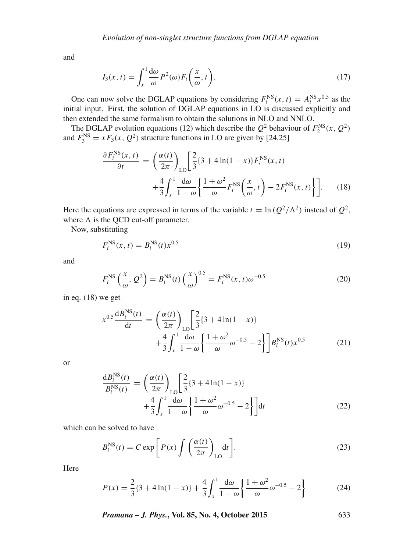and

$$
I_3(x,t) = \int_x^1 \frac{d\omega}{\omega} P^2(\omega) F_i\left(\frac{x}{\omega},t\right).
$$
 (17)

One can now solve the DGLAP equations by considering  $F_i^{NS}(x, t) = A_i^{NS} x^{0.5}$  as the initial input. First, the solution of DGLAP equations in LO is discussed explicitly and then extended the same formalism to obtain the solutions in NLO and NNLO.

The DGLAP evolution equations (12) which describe the  $Q^2$  behaviour of  $F_2^{\text{NS}}(x, Q^2)$ and  $F_3^{\text{NS}} = xF_3(x, Q^2)$  structure functions in LO are given by [24,25]

$$
\frac{\partial F_i^{\text{NS}}(x,t)}{\partial t} = \left(\frac{\alpha(t)}{2\pi}\right)_{\text{LO}} \left[\frac{2}{3}\{3+4\ln(1-x)\} F_i^{\text{NS}}(x,t) + \frac{4}{3} \int_x^1 \frac{\mathrm{d}\omega}{1-\omega} \left\{\frac{1+\omega^2}{\omega} F_i^{\text{NS}}\left(\frac{x}{\omega},t\right) - 2F_i^{\text{NS}}(x,t)\right\}\right].\tag{18}
$$

Here the equations are expressed in terms of the variable  $t = \ln(Q^2/\Lambda^2)$  instead of  $Q^2$ , where  $\Lambda$  is the QCD cut-off parameter.

Now, substituting

$$
F_i^{\rm NS}(x,t) = B_i^{\rm NS}(t)x^{0.5}
$$
 (19)

and

$$
F_i^{\text{NS}}\left(\frac{x}{\omega}, \mathcal{Q}^2\right) = B_i^{\text{NS}}(t)\left(\frac{x}{\omega}\right)^{0.5} = F_i^{\text{NS}}(x, t)\omega^{-0.5}
$$
\n<sup>(20)</sup>

in eq. (18) we get

$$
x^{0.5} \frac{dB_i^{NS}(t)}{dt} = \left(\frac{\alpha(t)}{2\pi}\right)_{LO} \left[\frac{2}{3} \{3 + 4\ln(1 - x)\}\right] + \frac{4}{3} \int_x^1 \frac{d\omega}{1 - \omega} \left\{\frac{1 + \omega^2}{\omega} \omega^{-0.5} - 2\right\} \right] B_i^{NS}(t) x^{0.5}
$$
(21)

or

$$
\frac{dB_i^{NS}(t)}{B_i^{NS}(t)} = \left(\frac{\alpha(t)}{2\pi}\right)_{LO} \left[\frac{2}{3}\{3+4\ln(1-x)\}\right] + \frac{4}{3} \int_x^1 \frac{d\omega}{1-\omega} \left\{\frac{1+\omega^2}{\omega}\omega^{-0.5} - 2\right\} dt
$$
\n(22)

which can be solved to have

$$
B_i^{\text{NS}}(t) = C \exp\left[P(x) \int \left(\frac{\alpha(t)}{2\pi}\right)_{\text{LO}} \mathrm{d}t\right].
$$
 (23)

Here

$$
P(x) = \frac{2}{3} \{3 + 4\ln(1 - x)\} + \frac{4}{3} \int_{x}^{1} \frac{d\omega}{1 - \omega} \left\{ \frac{1 + \omega^2}{\omega} \omega^{-0.5} - 2 \right\}
$$
(24)

*Pramana – J. Phys.***, Vol. 85, No. 4, October 2015** 633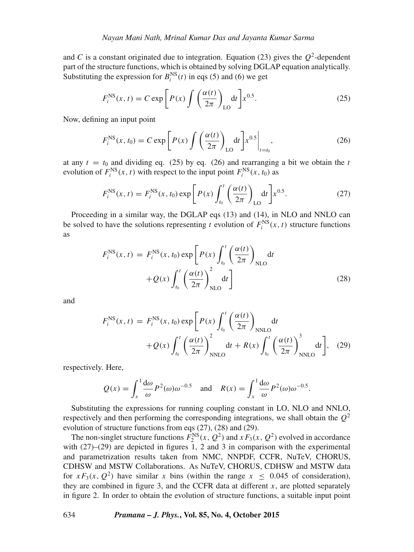and C is a constant originated due to integration. Equation (23) gives the  $Q^2$ -dependent part of the structure functions, which is obtained by solving DGLAP equation analytically. Substituting the expression for  $B_i^{NS}(t)$  in eqs (5) and (6) we get

$$
F_i^{\text{NS}}(x,t) = C \exp\left[P(x)\int \left(\frac{\alpha(t)}{2\pi}\right)_{\text{LO}} \mathrm{d}t\right] x^{0.5}.\tag{25}
$$

Now, defining an input point

$$
F_i^{\text{NS}}(x, t_0) = C \exp\left[P(x) \int \left(\frac{\alpha(t)}{2\pi}\right)_{\text{LO}} \mathrm{d}t\right] x^{0.5} \bigg|_{t=t_0},\tag{26}
$$

at any  $t = t_0$  and dividing eq. (25) by eq. (26) and rearranging a bit we obtain the t evolution of  $F_i^{\text{NS}}(x, t)$  with respect to the input point  $F_i^{\text{NS}}(x, t_0)$  as

$$
F_i^{\rm NS}(x,t) = F_i^{\rm NS}(x,t_0) \exp\left[P(x) \int_{t_0}^t \left(\frac{\alpha(t)}{2\pi}\right)_{\rm LO} dt\right] x^{0.5}.
$$
 (27)

Proceeding in a similar way, the DGLAP eqs (13) and (14), in NLO and NNLO can be solved to have the solutions representing t evolution of  $F_i^{NS}(x, t)$  structure functions as

$$
F_i^{\text{NS}}(x, t) = F_i^{\text{NS}}(x, t_0) \exp\left[P(x) \int_{t_0}^t \left(\frac{\alpha(t)}{2\pi}\right)_{\text{NLO}} dt + Q(x) \int_{t_0}^t \left(\frac{\alpha(t)}{2\pi}\right)_{\text{NLO}}^2 dt\right]
$$
(28)

and

$$
F_i^{\text{NS}}(x, t) = F_i^{\text{NS}}(x, t_0) \exp\left[P(x) \int_{t_0}^t \left(\frac{\alpha(t)}{2\pi}\right)_{\text{NNLO}} dt + Q(x) \int_{t_0}^t \left(\frac{\alpha(t)}{2\pi}\right)_{\text{NNLO}}^2 dt + R(x) \int_{t_0}^t \left(\frac{\alpha(t)}{2\pi}\right)_{\text{NNLO}}^3 dt\right], \quad (29)
$$

respectively. Here,

$$
Q(x) = \int_x^1 \frac{d\omega}{\omega} P^2(\omega) \omega^{-0.5} \quad \text{and} \quad R(x) = \int_x^1 \frac{d\omega}{\omega} P^2(\omega) \omega^{-0.5}.
$$

Substituting the expressions for running coupling constant in LO, NLO and NNLO, respectively and then performing the corresponding integrations, we shall obtain the  $Q^2$ evolution of structure functions from eqs (27), (28) and (29).

The non-singlet structure functions  $F_2^{\text{NS}}(x, Q^2)$  and  $xF_3(x, Q^2)$  evolved in accordance with  $(27)-(29)$  are depicted in figures 1, 2 and 3 in comparison with the experimental and parametrization results taken from NMC, NNPDF, CCFR, NuTeV, CHORUS, CDHSW and MSTW Collaborations. As NuTeV, CHORUS, CDHSW and MSTW data for  $xF_3(x, Q^2)$  have similar x bins (within the range  $x \leq 0.045$  of consideration), they are combined in figure 3, and the CCFR data at different  $x$ , are plotted separately in figure 2. In order to obtain the evolution of structure functions, a suitable input point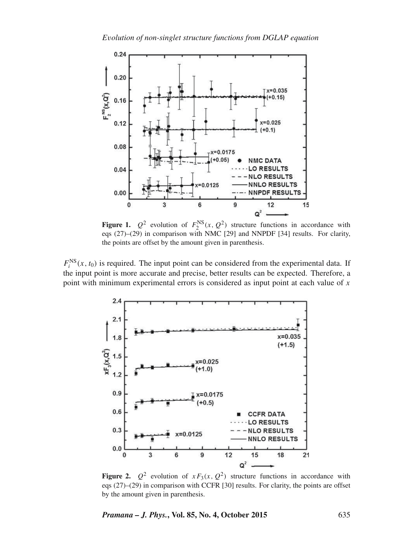

**Figure 1.**  $Q^2$  evolution of  $F_2^{NS}(x, Q^2)$  structure functions in accordance with eqs (27)–(29) in comparison with NMC [29] and NNPDF [34] results. For clarity, the points are offset by the amount given in parenthesis.

 $F_i^{\text{NS}}(x, t_0)$  is required. The input point can be considered from the experimental data. If the input point is more accurate and precise, better results can be expected. Therefore, a point with minimum experimental errors is considered as input point at each value of  $x$ 



**Figure 2.**  $Q^2$  evolution of  $xF_3(x, Q^2)$  structure functions in accordance with eqs (27)–(29) in comparison with CCFR [30] results. For clarity, the points are offset by the amount given in parenthesis.

*Pramana – J. Phys.***, Vol. 85, No. 4, October 2015** 635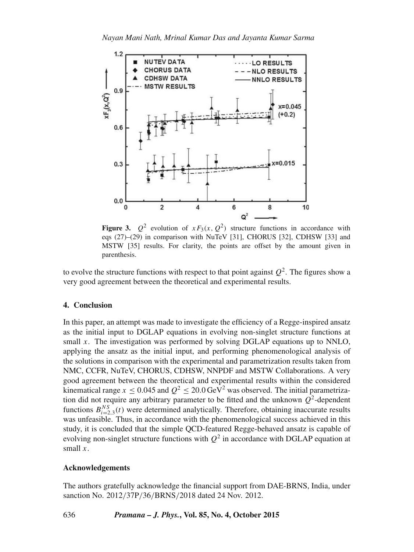

**Figure 3.**  $Q^2$  evolution of  $xF_3(x, Q^2)$  structure functions in accordance with eqs (27)–(29) in comparison with NuTeV [31], CHORUS [32], CDHSW [33] and MSTW [35] results. For clarity, the points are offset by the amount given in parenthesis.

to evolve the structure functions with respect to that point against  $Q^2$ . The figures show a very good agreement between the theoretical and experimental results.

# **4. Conclusion**

In this paper, an attempt was made to investigate the efficiency of a Regge-inspired ansatz as the initial input to DGLAP equations in evolving non-singlet structure functions at small  $x$ . The investigation was performed by solving DGLAP equations up to NNLO, applying the ansatz as the initial input, and performing phenomenological analysis of the solutions in comparison with the experimental and parametrization results taken from NMC, CCFR, NuTeV, CHORUS, CDHSW, NNPDF and MSTW Collaborations. A very good agreement between the theoretical and experimental results within the considered kinematical range  $x \le 0.045$  and  $Q^2 \le 20.0$  GeV<sup>2</sup> was observed. The initial parametrization did not require any arbitrary parameter to be fitted and the unknown  $Q^2$ -dependent functions  $B_{i=2,3}^{NS}(t)$  were determined analytically. Therefore, obtaining inaccurate results was unfeasible. Thus, in accordance with the phenomenological success achieved in this study, it is concluded that the simple QCD-featured Regge-behaved ansatz is capable of evolving non-singlet structure functions with  $Q^2$  in accordance with DGLAP equation at small  $x$ .

# **Acknowledgements**

The authors gratefully acknowledge the financial support from DAE-BRNS, India, under sanction No. 2012/37P/36/BRNS/2018 dated 24 Nov. 2012.

# 636 *Pramana – J. Phys.***, Vol. 85, No. 4, October 2015**